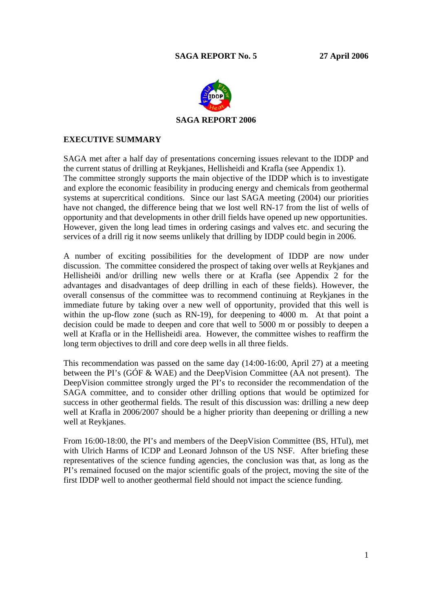

## **EXECUTIVE SUMMARY**

SAGA met after a half day of presentations concerning issues relevant to the IDDP and the current status of drilling at Reykjanes, Hellisheidi and Krafla (see Appendix 1). The committee strongly supports the main objective of the IDDP which is to investigate and explore the economic feasibility in producing energy and chemicals from geothermal systems at supercritical conditions. Since our last SAGA meeting (2004) our priorities have not changed, the difference being that we lost well RN-17 from the list of wells of opportunity and that developments in other drill fields have opened up new opportunities. However, given the long lead times in ordering casings and valves etc. and securing the services of a drill rig it now seems unlikely that drilling by IDDP could begin in 2006.

A number of exciting possibilities for the development of IDDP are now under discussion. The committee considered the prospect of taking over wells at Reykjanes and Hellisheiði and/or drilling new wells there or at Krafla (see Appendix 2 for the advantages and disadvantages of deep drilling in each of these fields). However, the overall consensus of the committee was to recommend continuing at Reykjanes in the immediate future by taking over a new well of opportunity, provided that this well is within the up-flow zone (such as RN-19), for deepening to 4000 m. At that point a decision could be made to deepen and core that well to 5000 m or possibly to deepen a well at Krafla or in the Hellisheidi area. However, the committee wishes to reaffirm the long term objectives to drill and core deep wells in all three fields.

This recommendation was passed on the same day (14:00-16:00, April 27) at a meeting between the PI's (GÓF & WAE) and the DeepVision Committee (AA not present). The DeepVision committee strongly urged the PI's to reconsider the recommendation of the SAGA committee, and to consider other drilling options that would be optimized for success in other geothermal fields. The result of this discussion was: drilling a new deep well at Krafla in 2006/2007 should be a higher priority than deepening or drilling a new well at Reykjanes.

From 16:00-18:00, the PI's and members of the DeepVision Committee (BS, HTul), met with Ulrich Harms of ICDP and Leonard Johnson of the US NSF. After briefing these representatives of the science funding agencies, the conclusion was that, as long as the PI's remained focused on the major scientific goals of the project, moving the site of the first IDDP well to another geothermal field should not impact the science funding.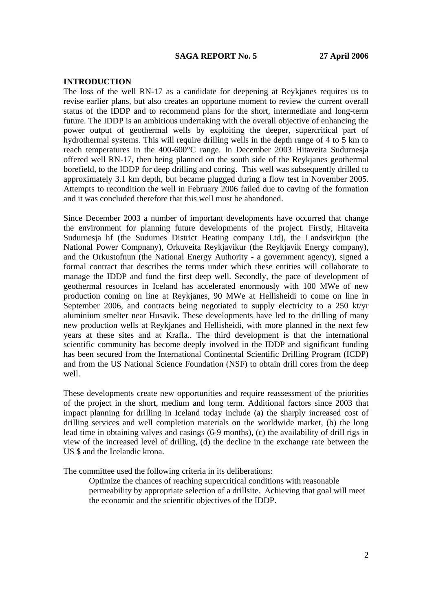#### **INTRODUCTION**

The loss of the well RN-17 as a candidate for deepening at Reykjanes requires us to revise earlier plans, but also creates an opportune moment to review the current overall status of the IDDP and to recommend plans for the short, intermediate and long-term future. The IDDP is an ambitious undertaking with the overall objective of enhancing the power output of geothermal wells by exploiting the deeper, supercritical part of hydrothermal systems. This will require drilling wells in the depth range of 4 to 5 km to reach temperatures in the 400-600°C range. In December 2003 Hitaveita Sudurnesja offered well RN-17, then being planned on the south side of the Reykjanes geothermal borefield, to the IDDP for deep drilling and coring. This well was subsequently drilled to approximately 3.1 km depth, but became plugged during a flow test in November 2005. Attempts to recondition the well in February 2006 failed due to caving of the formation and it was concluded therefore that this well must be abandoned.

Since December 2003 a number of important developments have occurred that change the environment for planning future developments of the project. Firstly, Hitaveita Sudurnesja hf (the Sudurnes District Heating company Ltd), the Landsvirkjun (the National Power Compnany), Orkuveita Reykjavikur (the Reykjavik Energy company), and the Orkustofnun (the National Energy Authority - a government agency), signed a formal contract that describes the terms under which these entities will collaborate to manage the IDDP and fund the first deep well. Secondly, the pace of development of geothermal resources in Iceland has accelerated enormously with 100 MWe of new production coming on line at Reykjanes, 90 MWe at Hellisheidi to come on line in September 2006, and contracts being negotiated to supply electricity to a 250 kt/yr aluminium smelter near Husavik. These developments have led to the drilling of many new production wells at Reykjanes and Hellisheidi, with more planned in the next few years at these sites and at Krafla.. The third development is that the international scientific community has become deeply involved in the IDDP and significant funding has been secured from the International Continental Scientific Drilling Program (ICDP) and from the US National Science Foundation (NSF) to obtain drill cores from the deep well.

These developments create new opportunities and require reassessment of the priorities of the project in the short, medium and long term. Additional factors since 2003 that impact planning for drilling in Iceland today include (a) the sharply increased cost of drilling services and well completion materials on the worldwide market, (b) the long lead time in obtaining valves and casings (6-9 months), (c) the availability of drill rigs in view of the increased level of drilling, (d) the decline in the exchange rate between the US \$ and the Icelandic krona.

The committee used the following criteria in its deliberations:

Optimize the chances of reaching supercritical conditions with reasonable permeability by appropriate selection of a drillsite. Achieving that goal will meet the economic and the scientific objectives of the IDDP.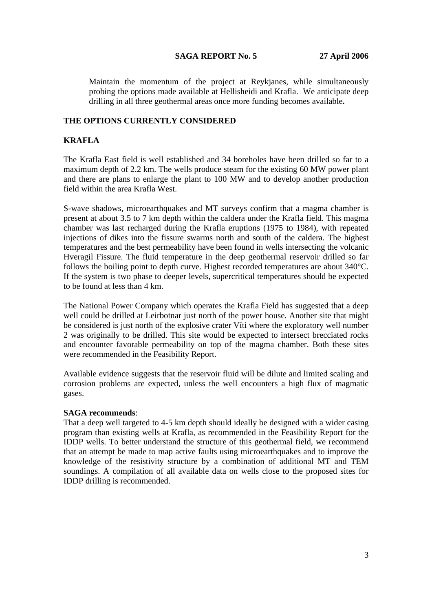Maintain the momentum of the project at Reykjanes, while simultaneously probing the options made available at Hellisheidi and Krafla. We anticipate deep drilling in all three geothermal areas once more funding becomes available**.** 

## **THE OPTIONS CURRENTLY CONSIDERED**

## **KRAFLA**

The Krafla East field is well established and 34 boreholes have been drilled so far to a maximum depth of 2.2 km. The wells produce steam for the existing 60 MW power plant and there are plans to enlarge the plant to 100 MW and to develop another production field within the area Krafla West.

S-wave shadows, microearthquakes and MT surveys confirm that a magma chamber is present at about 3.5 to 7 km depth within the caldera under the Krafla field. This magma chamber was last recharged during the Krafla eruptions (1975 to 1984), with repeated injections of dikes into the fissure swarms north and south of the caldera. The highest temperatures and the best permeability have been found in wells intersecting the volcanic Hveragil Fissure. The fluid temperature in the deep geothermal reservoir drilled so far follows the boiling point to depth curve. Highest recorded temperatures are about 340°C. If the system is two phase to deeper levels, supercritical temperatures should be expected to be found at less than 4 km.

The National Power Company which operates the Krafla Field has suggested that a deep well could be drilled at Leirbotnar just north of the power house. Another site that might be considered is just north of the explosive crater Víti where the exploratory well number 2 was originally to be drilled. This site would be expected to intersect brecciated rocks and encounter favorable permeability on top of the magma chamber. Both these sites were recommended in the Feasibility Report.

Available evidence suggests that the reservoir fluid will be dilute and limited scaling and corrosion problems are expected, unless the well encounters a high flux of magmatic gases.

## **SAGA recommends**:

That a deep well targeted to 4-5 km depth should ideally be designed with a wider casing program than existing wells at Krafla, as recommended in the Feasibility Report for the IDDP wells. To better understand the structure of this geothermal field, we recommend that an attempt be made to map active faults using microearthquakes and to improve the knowledge of the resistivity structure by a combination of additional MT and TEM soundings. A compilation of all available data on wells close to the proposed sites for IDDP drilling is recommended.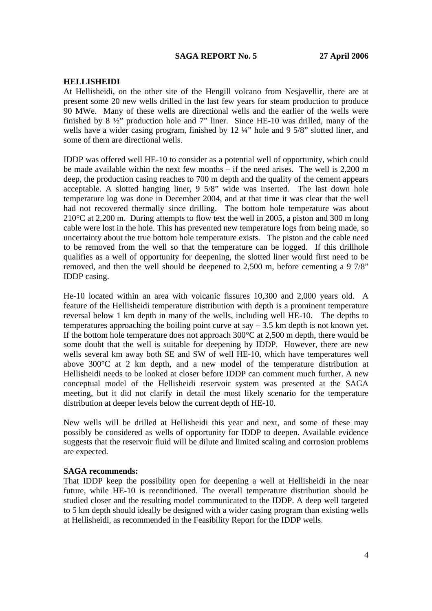#### **HELLISHEIDI**

At Hellisheidi, on the other site of the Hengill volcano from Nesjavellir, there are at present some 20 new wells drilled in the last few years for steam production to produce 90 MWe. Many of these wells are directional wells and the earlier of the wells were finished by 8 ½" production hole and 7" liner. Since HE-10 was drilled, many of the wells have a wider casing program, finished by 12 ¼" hole and 9 5/8" slotted liner, and some of them are directional wells.

IDDP was offered well HE-10 to consider as a potential well of opportunity, which could be made available within the next few months – if the need arises. The well is  $2.200 \text{ m}$ deep, the production casing reaches to 700 m depth and the quality of the cement appears acceptable. A slotted hanging liner, 9 5/8" wide was inserted. The last down hole temperature log was done in December 2004, and at that time it was clear that the well had not recovered thermally since drilling. The bottom hole temperature was about 210°C at 2,200 m. During attempts to flow test the well in 2005, a piston and 300 m long cable were lost in the hole. This has prevented new temperature logs from being made, so uncertainty about the true bottom hole temperature exists. The piston and the cable need to be removed from the well so that the temperature can be logged. If this drillhole qualifies as a well of opportunity for deepening, the slotted liner would first need to be removed, and then the well should be deepened to 2,500 m, before cementing a 9 7/8" IDDP casing.

He-10 located within an area with volcanic fissures 10,300 and 2,000 years old. A feature of the Hellisheidi temperature distribution with depth is a prominent temperature reversal below 1 km depth in many of the wells, including well HE-10. The depths to temperatures approaching the boiling point curve at say  $-3.5$  km depth is not known yet. If the bottom hole temperature does not approach 300°C at 2,500 m depth, there would be some doubt that the well is suitable for deepening by IDDP. However, there are new wells several km away both SE and SW of well HE-10, which have temperatures well above 300°C at 2 km depth, and a new model of the temperature distribution at Hellisheidi needs to be looked at closer before IDDP can comment much further. A new conceptual model of the Hellisheidi reservoir system was presented at the SAGA meeting, but it did not clarify in detail the most likely scenario for the temperature distribution at deeper levels below the current depth of HE-10.

New wells will be drilled at Hellisheidi this year and next, and some of these may possibly be considered as wells of opportunity for IDDP to deepen. Available evidence suggests that the reservoir fluid will be dilute and limited scaling and corrosion problems are expected.

#### **SAGA recommends:**

That IDDP keep the possibility open for deepening a well at Hellisheidi in the near future, while HE-10 is reconditioned. The overall temperature distribution should be studied closer and the resulting model communicated to the IDDP. A deep well targeted to 5 km depth should ideally be designed with a wider casing program than existing wells at Hellisheidi, as recommended in the Feasibility Report for the IDDP wells.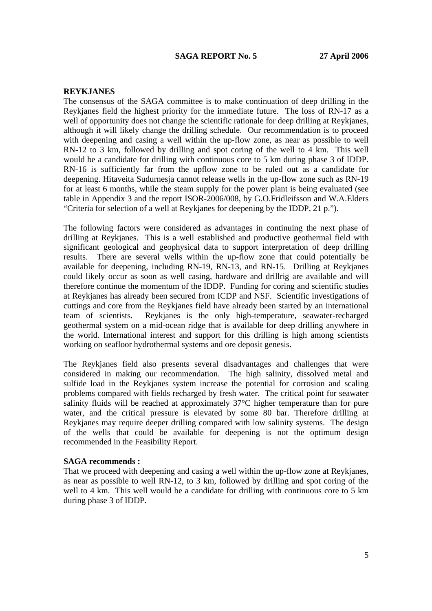### **REYKJANES**

The consensus of the SAGA committee is to make continuation of deep drilling in the Reykjanes field the highest priority for the immediate future. The loss of RN-17 as a well of opportunity does not change the scientific rationale for deep drilling at Reykjanes, although it will likely change the drilling schedule. Our recommendation is to proceed with deepening and casing a well within the up-flow zone, as near as possible to well RN-12 to 3 km, followed by drilling and spot coring of the well to 4 km. This well would be a candidate for drilling with continuous core to 5 km during phase 3 of IDDP. RN-16 is sufficiently far from the upflow zone to be ruled out as a candidate for deepening. Hitaveita Sudurnesja cannot release wells in the up-flow zone such as RN-19 for at least 6 months, while the steam supply for the power plant is being evaluated (see table in Appendix 3 and the report ISOR-2006/008, by G.O.Fridleifsson and W.A.Elders "Criteria for selection of a well at Reykjanes for deepening by the IDDP, 21 p.").

The following factors were considered as advantages in continuing the next phase of drilling at Reykjanes. This is a well established and productive geothermal field with significant geological and geophysical data to support interpretation of deep drilling results. There are several wells within the up-flow zone that could potentially be available for deepening, including RN-19, RN-13, and RN-15. Drilling at Reykjanes could likely occur as soon as well casing, hardware and drillrig are available and will therefore continue the momentum of the IDDP. Funding for coring and scientific studies at Reykjanes has already been secured from ICDP and NSF. Scientific investigations of cuttings and core from the Reykjanes field have already been started by an international team of scientists. Reykjanes is the only high-temperature, seawater-recharged geothermal system on a mid-ocean ridge that is available for deep drilling anywhere in the world. International interest and support for this drilling is high among scientists working on seafloor hydrothermal systems and ore deposit genesis.

The Reykjanes field also presents several disadvantages and challenges that were considered in making our recommendation. The high salinity, dissolved metal and sulfide load in the Reykjanes system increase the potential for corrosion and scaling problems compared with fields recharged by fresh water. The critical point for seawater salinity fluids will be reached at approximately 37°C higher temperature than for pure water, and the critical pressure is elevated by some 80 bar. Therefore drilling at Reykjanes may require deeper drilling compared with low salinity systems. The design of the wells that could be available for deepening is not the optimum design recommended in the Feasibility Report.

#### **SAGA recommends :**

That we proceed with deepening and casing a well within the up-flow zone at Reykjanes, as near as possible to well RN-12, to 3 km, followed by drilling and spot coring of the well to 4 km. This well would be a candidate for drilling with continuous core to 5 km during phase 3 of IDDP.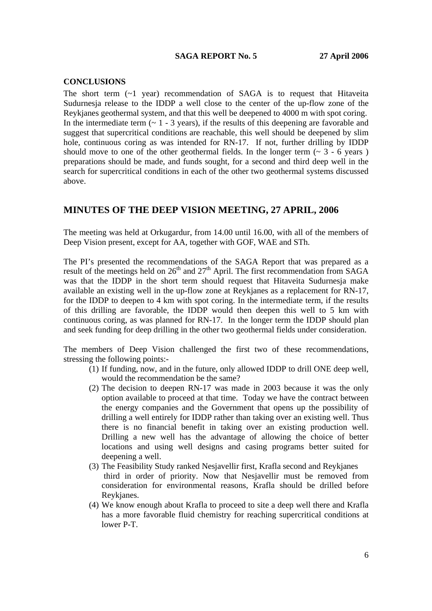#### **CONCLUSIONS**

The short term  $(-1 \text{ year})$  recommendation of SAGA is to request that Hitaveita Sudurnesja release to the IDDP a well close to the center of the up-flow zone of the Reykjanes geothermal system, and that this well be deepened to 4000 m with spot coring. In the intermediate term  $(-1 - 3$  years), if the results of this deepening are favorable and suggest that supercritical conditions are reachable, this well should be deepened by slim hole, continuous coring as was intended for RN-17. If not, further drilling by IDDP should move to one of the other geothermal fields. In the longer term  $(2, 3, -6)$  years ) preparations should be made, and funds sought, for a second and third deep well in the search for supercritical conditions in each of the other two geothermal systems discussed above.

## **MINUTES OF THE DEEP VISION MEETING, 27 APRIL, 2006**

The meeting was held at Orkugardur, from 14.00 until 16.00, with all of the members of Deep Vision present, except for AA, together with GOF, WAE and STh.

The PI's presented the recommendations of the SAGA Report that was prepared as a result of the meetings held on  $26<sup>th</sup>$  and  $27<sup>th</sup>$  April. The first recommendation from SAGA was that the IDDP in the short term should request that Hitaveita Sudurnesja make available an existing well in the up-flow zone at Reykjanes as a replacement for RN-17, for the IDDP to deepen to 4 km with spot coring. In the intermediate term, if the results of this drilling are favorable, the IDDP would then deepen this well to 5 km with continuous coring, as was planned for RN-17. In the longer term the IDDP should plan and seek funding for deep drilling in the other two geothermal fields under consideration.

The members of Deep Vision challenged the first two of these recommendations, stressing the following points:-

- (1) If funding, now, and in the future, only allowed IDDP to drill ONE deep well, would the recommendation be the same?
- (2) The decision to deepen RN-17 was made in 2003 because it was the only option available to proceed at that time. Today we have the contract between the energy companies and the Government that opens up the possibility of drilling a well entirely for IDDP rather than taking over an existing well. Thus there is no financial benefit in taking over an existing production well. Drilling a new well has the advantage of allowing the choice of better locations and using well designs and casing programs better suited for deepening a well.
- (3) The Feasibility Study ranked Nesjavellir first, Krafla second and Reykjanes third in order of priority. Now that Nesjavellir must be removed from consideration for environmental reasons, Krafla should be drilled before Reykjanes.
- (4) We know enough about Krafla to proceed to site a deep well there and Krafla has a more favorable fluid chemistry for reaching supercritical conditions at lower P-T.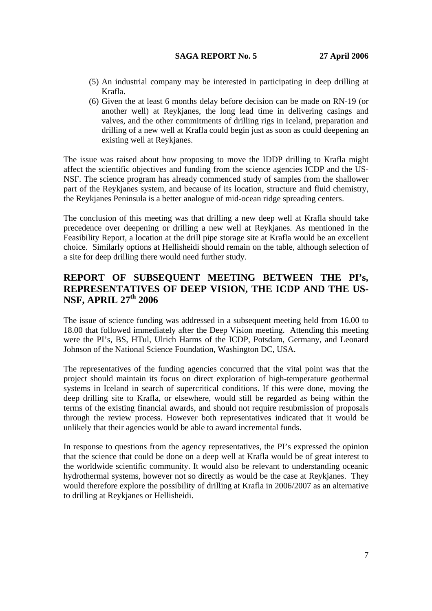- (5) An industrial company may be interested in participating in deep drilling at Krafla.
- (6) Given the at least 6 months delay before decision can be made on RN-19 (or another well) at Reykjanes, the long lead time in delivering casings and valves, and the other commitments of drilling rigs in Iceland, preparation and drilling of a new well at Krafla could begin just as soon as could deepening an existing well at Reykjanes.

The issue was raised about how proposing to move the IDDP drilling to Krafla might affect the scientific objectives and funding from the science agencies ICDP and the US-NSF. The science program has already commenced study of samples from the shallower part of the Reykjanes system, and because of its location, structure and fluid chemistry, the Reykjanes Peninsula is a better analogue of mid-ocean ridge spreading centers.

The conclusion of this meeting was that drilling a new deep well at Krafla should take precedence over deepening or drilling a new well at Reykjanes. As mentioned in the Feasibility Report, a location at the drill pipe storage site at Krafla would be an excellent choice. Similarly options at Hellisheidi should remain on the table, although selection of a site for deep drilling there would need further study.

# **REPORT OF SUBSEQUENT MEETING BETWEEN THE PI's, REPRESENTATIVES OF DEEP VISION, THE ICDP AND THE US-NSF, APRIL 27th 2006**

The issue of science funding was addressed in a subsequent meeting held from 16.00 to 18.00 that followed immediately after the Deep Vision meeting. Attending this meeting were the PI's, BS, HTul, Ulrich Harms of the ICDP, Potsdam, Germany, and Leonard Johnson of the National Science Foundation, Washington DC, USA.

The representatives of the funding agencies concurred that the vital point was that the project should maintain its focus on direct exploration of high-temperature geothermal systems in Iceland in search of supercritical conditions. If this were done, moving the deep drilling site to Krafla, or elsewhere, would still be regarded as being within the terms of the existing financial awards, and should not require resubmission of proposals through the review process. However both representatives indicated that it would be unlikely that their agencies would be able to award incremental funds.

In response to questions from the agency representatives, the PI's expressed the opinion that the science that could be done on a deep well at Krafla would be of great interest to the worldwide scientific community. It would also be relevant to understanding oceanic hydrothermal systems, however not so directly as would be the case at Reykjanes. They would therefore explore the possibility of drilling at Krafla in 2006/2007 as an alternative to drilling at Reykjanes or Hellisheidi.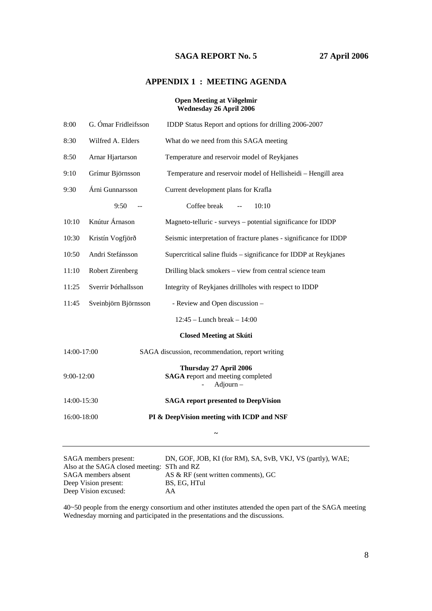## **APPENDIX 1 : MEETING AGENDA**

#### **Open Meeting at Víðgelmir Wednesday 26 April 2006**

| 8:00                           | G. Ómar Fridleifsson                                                                 | IDDP Status Report and options for drilling 2006-2007                                                                                                                                                                                                                                            |  |  |  |  |  |  |  |
|--------------------------------|--------------------------------------------------------------------------------------|--------------------------------------------------------------------------------------------------------------------------------------------------------------------------------------------------------------------------------------------------------------------------------------------------|--|--|--|--|--|--|--|
| 8:30                           | Wilfred A. Elders                                                                    | What do we need from this SAGA meeting                                                                                                                                                                                                                                                           |  |  |  |  |  |  |  |
| 8:50                           | Arnar Hjartarson                                                                     | Temperature and reservoir model of Reykjanes                                                                                                                                                                                                                                                     |  |  |  |  |  |  |  |
| 9:10                           | Grímur Björnsson                                                                     | Temperature and reservoir model of Hellisheidi - Hengill area                                                                                                                                                                                                                                    |  |  |  |  |  |  |  |
| 9:30                           | Árni Gunnarsson                                                                      | Current development plans for Krafla                                                                                                                                                                                                                                                             |  |  |  |  |  |  |  |
|                                | 9:50                                                                                 | Coffee break<br>10:10                                                                                                                                                                                                                                                                            |  |  |  |  |  |  |  |
| 10:10                          | Knútur Árnason                                                                       | Magneto-telluric - surveys – potential significance for IDDP                                                                                                                                                                                                                                     |  |  |  |  |  |  |  |
| 10:30                          | Kristín Vogfjörð                                                                     | Seismic interpretation of fracture planes - significance for IDDP                                                                                                                                                                                                                                |  |  |  |  |  |  |  |
| 10:50                          | Andri Stefánsson<br>Supercritical saline fluids – significance for IDDP at Reykjanes |                                                                                                                                                                                                                                                                                                  |  |  |  |  |  |  |  |
| 11:10                          | Robert Zirenberg                                                                     | Drilling black smokers - view from central science team                                                                                                                                                                                                                                          |  |  |  |  |  |  |  |
| 11:25                          | Sverrir Þórhallsson                                                                  | Integrity of Reykjanes drillholes with respect to IDDP                                                                                                                                                                                                                                           |  |  |  |  |  |  |  |
| 11:45                          | Sveinbjörn Björnsson                                                                 | - Review and Open discussion -                                                                                                                                                                                                                                                                   |  |  |  |  |  |  |  |
| $12:45$ – Lunch break – 14:00  |                                                                                      |                                                                                                                                                                                                                                                                                                  |  |  |  |  |  |  |  |
| <b>Closed Meeting at Skúti</b> |                                                                                      |                                                                                                                                                                                                                                                                                                  |  |  |  |  |  |  |  |
| 14:00-17:00                    |                                                                                      | SAGA discussion, recommendation, report writing                                                                                                                                                                                                                                                  |  |  |  |  |  |  |  |
| $9:00-12:00$                   |                                                                                      | Thursday 27 April 2006<br><b>SAGA</b> report and meeting completed<br>Adjourn-                                                                                                                                                                                                                   |  |  |  |  |  |  |  |
| 14:00-15:30                    |                                                                                      | <b>SAGA</b> report presented to DeepVision                                                                                                                                                                                                                                                       |  |  |  |  |  |  |  |
| 16:00-18:00                    |                                                                                      | PI & DeepVision meeting with ICDP and NSF                                                                                                                                                                                                                                                        |  |  |  |  |  |  |  |
|                                |                                                                                      |                                                                                                                                                                                                                                                                                                  |  |  |  |  |  |  |  |
| $\mathbf{A} \cap \mathbf{A}$ 1 |                                                                                      | $\mathbf{D}$ and $\mathbf{D}$ and $\mathbf{D}$ and $\mathbf{D}$ and $\mathbf{D}$ and $\mathbf{D}$ and $\mathbf{D}$ and $\mathbf{D}$ and $\mathbf{D}$ and $\mathbf{D}$ and $\mathbf{D}$ and $\mathbf{D}$ and $\mathbf{D}$ and $\mathbf{D}$ and $\mathbf{D}$ and $\mathbf{D}$ and $\mathbf{D}$ and |  |  |  |  |  |  |  |

SAGA members present:DN, GOF, JOB, KI (for RM), SA, SvB, VKJ, VS (partly), WAE; Also at the SAGA closed meeting: STh and RZ SAGA members absent AS & RF (sent written comments), GC Deep Vision present: BS, EG, HTul Deep Vision excused: AA

40~50 people from the energy consortium and other institutes attended the open part of the SAGA meeting Wednesday morning and participated in the presentations and the discussions.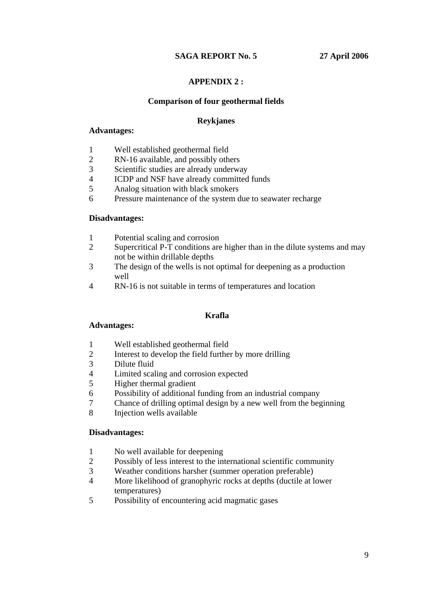## **APPENDIX 2 :**

## **Comparison of four geothermal fields**

## **Reykjanes**

## **Advantages:**

- 1 Well established geothermal field
- 2 RN-16 available, and possibly others
- 3 Scientific studies are already underway<br>4 ICDP and NSF have already committed
- ICDP and NSF have already committed funds
- 5 Analog situation with black smokers
- 6 Pressure maintenance of the system due to seawater recharge

## **Disadvantages:**

- 1 Potential scaling and corrosion
- 2 Supercritical P-T conditions are higher than in the dilute systems and may not be within drillable depths
- 3 The design of the wells is not optimal for deepening as a production well
- 4 RN-16 is not suitable in terms of temperatures and location

## **Krafla**

## **Advantages:**

- 1 Well established geothermal field<br>2 Interest to develop the field further
- Interest to develop the field further by more drilling
- 3 Dilute fluid
- 4 Limited scaling and corrosion expected
- 5 Higher thermal gradient
- 6 Possibility of additional funding from an industrial company<br>
Theory Chance of drilling optimal design by a new well from the beg
- 7 Chance of drilling optimal design by a new well from the beginning
- 8 Injection wells available

## **Disadvantages:**

- 1 No well available for deepening
- 2 Possibly of less interest to the international scientific community
- 3 Weather conditions harsher (summer operation preferable)
- 4 More likelihood of granophyric rocks at depths (ductile at lower temperatures)
- 5 Possibility of encountering acid magmatic gases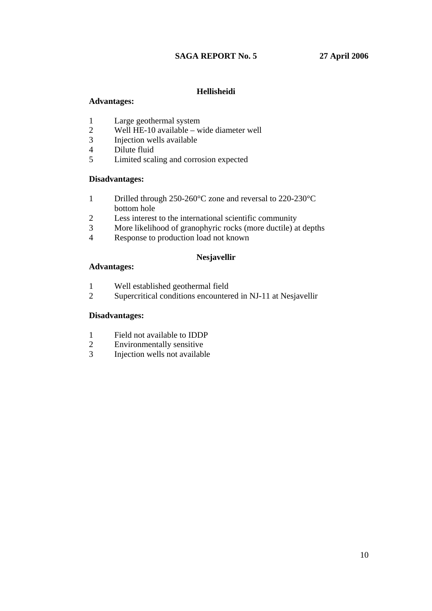## **Hellisheidi**

## **Advantages:**

- 1 Large geothermal system
- 2 Well HE-10 available wide diameter well<br>3 Injection wells available
- 3 Injection wells available
- 4 Dilute fluid
- 5 Limited scaling and corrosion expected

## **Disadvantages:**

- 1 Drilled through 250-260°C zone and reversal to 220-230°C bottom hole
- 2 Less interest to the international scientific community
- 3 More likelihood of granophyric rocks (more ductile) at depths
- 4 Response to production load not known

## **Nesjavellir**

## **Advantages:**

- 1 Well established geothermal field
- 2 Supercritical conditions encountered in NJ-11 at Nesjavellir

## **Disadvantages:**

- 1 Field not available to IDDP
- 
- 2 Environmentally sensitive<br>3 Injection wells not available Injection wells not available